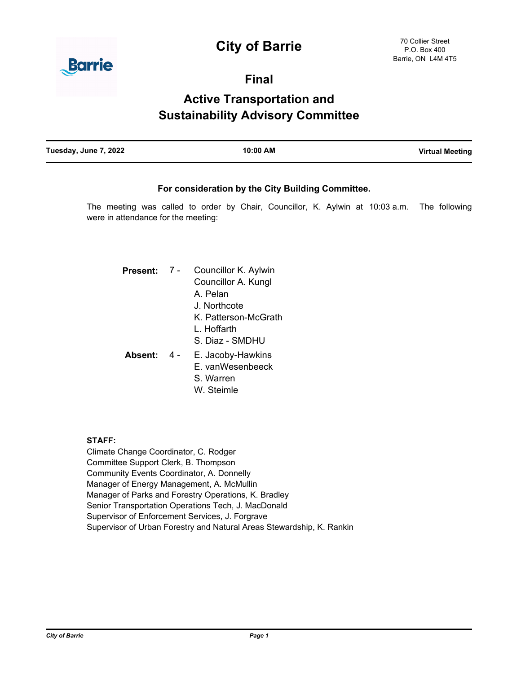# **City of Barrie**



**Final**

# **Active Transportation and Sustainability Advisory Committee**

| Tuesday, June 7, 2022 | 10:00 AM | <b>Virtual Meeting</b> |
|-----------------------|----------|------------------------|
|                       |          |                        |

## **For consideration by the City Building Committee.**

The meeting was called to order by Chair, Councillor, K. Aylwin at 10:03 a.m. The following were in attendance for the meeting:

| Present: | $7 -$ | Councillor K. Aylwin<br>Councillor A. Kungl<br>A Pelan<br>J. Northcote |
|----------|-------|------------------------------------------------------------------------|
|          |       | K. Patterson-McGrath<br>I Hoffarth<br>S. Diaz - SMDHU                  |
| Absent:  |       | E. Jacoby-Hawkins<br>E. vanWesenbeeck<br>S Warren<br>W Steimle         |

#### **STAFF:**

Climate Change Coordinator, C. Rodger Committee Support Clerk, B. Thompson Community Events Coordinator, A. Donnelly Manager of Energy Management, A. McMullin Manager of Parks and Forestry Operations, K. Bradley Senior Transportation Operations Tech, J. MacDonald Supervisor of Enforcement Services, J. Forgrave Supervisor of Urban Forestry and Natural Areas Stewardship, K. Rankin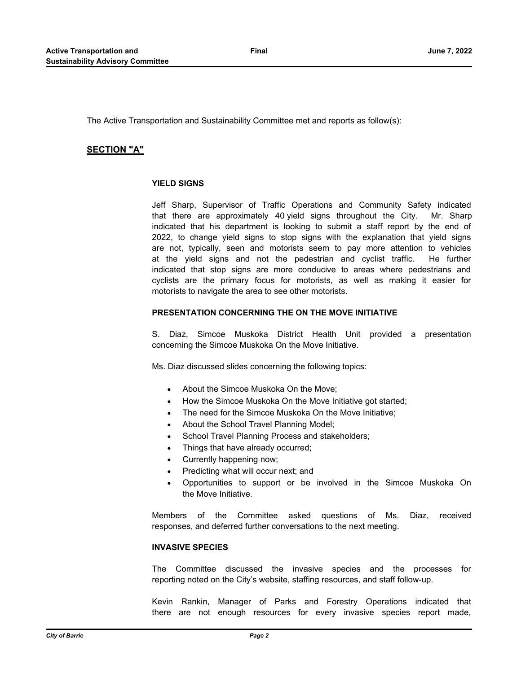The Active Transportation and Sustainability Committee met and reports as follow(s):

## **SECTION "A"**

## **YIELD SIGNS**

Jeff Sharp, Supervisor of Traffic Operations and Community Safety indicated that there are approximately 40 yield signs throughout the City. Mr. Sharp indicated that his department is looking to submit a staff report by the end of 2022, to change yield signs to stop signs with the explanation that yield signs are not, typically, seen and motorists seem to pay more attention to vehicles at the yield signs and not the pedestrian and cyclist traffic. He further indicated that stop signs are more conducive to areas where pedestrians and cyclists are the primary focus for motorists, as well as making it easier for motorists to navigate the area to see other motorists.

#### **PRESENTATION CONCERNING THE ON THE MOVE INITIATIVE**

S. Diaz, Simcoe Muskoka District Health Unit provided a presentation concerning the Simcoe Muskoka On the Move Initiative.

Ms. Diaz discussed slides concerning the following topics:

- · About the Simcoe Muskoka On the Move;
- How the Simcoe Muskoka On the Move Initiative got started;
- The need for the Simcoe Muskoka On the Move Initiative:
- About the School Travel Planning Model;
- School Travel Planning Process and stakeholders;
- Things that have already occurred;
- Currently happening now;
- Predicting what will occur next; and
- · Opportunities to support or be involved in the Simcoe Muskoka On the Move Initiative.

Members of the Committee asked questions of Ms. Diaz, received responses, and deferred further conversations to the next meeting.

#### **INVASIVE SPECIES**

The Committee discussed the invasive species and the processes for reporting noted on the City's website, staffing resources, and staff follow-up.

Kevin Rankin, Manager of Parks and Forestry Operations indicated that there are not enough resources for every invasive species report made,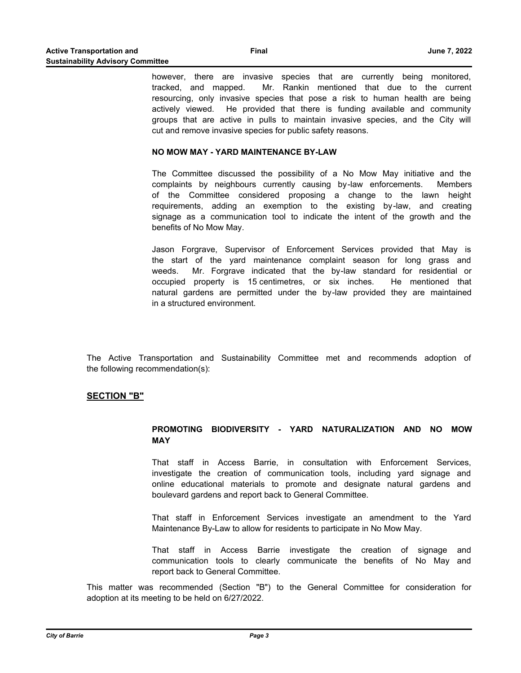however, there are invasive species that are currently being monitored, tracked, and mapped. Mr. Rankin mentioned that due to the current resourcing, only invasive species that pose a risk to human health are being actively viewed. He provided that there is funding available and community groups that are active in pulls to maintain invasive species, and the City will cut and remove invasive species for public safety reasons.

#### **NO MOW MAY - YARD MAINTENANCE BY-LAW**

The Committee discussed the possibility of a No Mow May initiative and the complaints by neighbours currently causing by-law enforcements. Members of the Committee considered proposing a change to the lawn height requirements, adding an exemption to the existing by-law, and creating signage as a communication tool to indicate the intent of the growth and the benefits of No Mow May.

Jason Forgrave, Supervisor of Enforcement Services provided that May is the start of the yard maintenance complaint season for long grass and weeds. Mr. Forgrave indicated that the by-law standard for residential or occupied property is 15 centimetres, or six inches. He mentioned that natural gardens are permitted under the by-law provided they are maintained in a structured environment.

The Active Transportation and Sustainability Committee met and recommends adoption of the following recommendation(s):

## **SECTION "B"**

### **PROMOTING BIODIVERSITY - YARD NATURALIZATION AND NO MOW MAY**

That staff in Access Barrie, in consultation with Enforcement Services, investigate the creation of communication tools, including yard signage and online educational materials to promote and designate natural gardens and boulevard gardens and report back to General Committee.

That staff in Enforcement Services investigate an amendment to the Yard Maintenance By-Law to allow for residents to participate in No Mow May.

That staff in Access Barrie investigate the creation of signage and communication tools to clearly communicate the benefits of No May and report back to General Committee.

This matter was recommended (Section "B") to the General Committee for consideration for adoption at its meeting to be held on 6/27/2022.